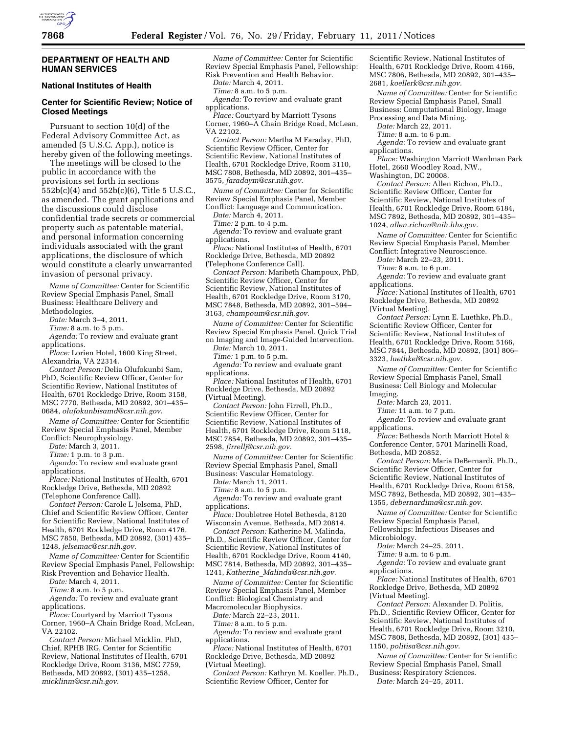

### **DEPARTMENT OF HEALTH AND HUMAN SERVICES**

## **National Institutes of Health**

# **Center for Scientific Review; Notice of Closed Meetings**

Pursuant to section 10(d) of the Federal Advisory Committee Act, as amended (5 U.S.C. App.), notice is hereby given of the following meetings.

The meetings will be closed to the public in accordance with the provisions set forth in sections 552b(c)(4) and 552b(c)(6), Title 5 U.S.C., as amended. The grant applications and the discussions could disclose confidential trade secrets or commercial property such as patentable material, and personal information concerning individuals associated with the grant applications, the disclosure of which would constitute a clearly unwarranted invasion of personal privacy.

*Name of Committee:* Center for Scientific Review Special Emphasis Panel, Small Business: Healthcare Delivery and Methodologies.

*Date:* March 3–4, 2011.

*Time:* 8 a.m. to 5 p.m.

*Agenda:* To review and evaluate grant applications.

*Place:* Lorien Hotel, 1600 King Street, Alexandria, VA 22314.

*Contact Person:* Delia Olufokunbi Sam, PhD, Scientific Review Officer, Center for Scientific Review, National Institutes of Health, 6701 Rockledge Drive, Room 3158, MSC 7770, Bethesda, MD 20892, 301–435– 0684, *[olufokunbisamd@csr.nih.gov.](mailto:olufokunbisamd@csr.nih.gov)* 

*Name of Committee:* Center for Scientific Review Special Emphasis Panel, Member Conflict: Neurophysiology.

*Date:* March 3, 2011.

*Time:* 1 p.m. to 3 p.m.

*Agenda:* To review and evaluate grant applications.

*Place:* National Institutes of Health, 6701 Rockledge Drive, Bethesda, MD 20892 (Telephone Conference Call).

*Contact Person:* Carole L Jelsema, PhD, Chief and Scientific Review Officer, Center for Scientific Review, National Institutes of Health, 6701 Rockledge Drive, Room 4176, MSC 7850, Bethesda, MD 20892, (301) 435– 1248, *[jelsemac@csr.nih.gov.](mailto:jelsemac@csr.nih.gov)* 

*Name of Committee:* Center for Scientific Review Special Emphasis Panel, Fellowship: Risk Prevention and Behavior Health.

*Date:* March 4, 2011.

*Time:* 8 a.m. to 5 p.m.

*Agenda:* To review and evaluate grant applications.

*Place:* Courtyard by Marriott Tysons Corner, 1960–A Chain Bridge Road, McLean, VA 22102.

*Contact Person:* Michael Micklin, PhD, Chief, RPHB IRG, Center for Scientific Review, National Institutes of Health, 6701 Rockledge Drive, Room 3136, MSC 7759, Bethesda, MD 20892, (301) 435–1258, *[micklinm@csr.nih.gov.](mailto:micklinm@csr.nih.gov)* 

*Name of Committee:* Center for Scientific Review Special Emphasis Panel, Fellowship: Risk Prevention and Health Behavior.

*Date:* March 4, 2011.

*Time:* 8 a.m. to 5 p.m.

*Agenda:* To review and evaluate grant applications.

*Place:* Courtyard by Marriott Tysons Corner, 1960–A Chain Bridge Road, McLean, VA 22102.

*Contact Person:* Martha M Faraday, PhD, Scientific Review Officer, Center for Scientific Review, National Institutes of Health, 6701 Rockledge Drive, Room 3110, MSC 7808, Bethesda, MD 20892, 301–435– 3575, *[faradaym@csr.nih.gov.](mailto:faradaym@csr.nih.gov)* 

*Name of Committee:* Center for Scientific Review Special Emphasis Panel, Member Conflict: Language and Communication.

*Date:* March 4, 2011.

*Time:* 2 p.m. to 4 p.m.

*Agenda:* To review and evaluate grant applications.

*Place:* National Institutes of Health, 6701 Rockledge Drive, Bethesda, MD 20892 (Telephone Conference Call).

*Contact Person:* Maribeth Champoux, PhD, Scientific Review Officer, Center for Scientific Review, National Institutes of Health, 6701 Rockledge Drive, Room 3170, MSC 7848, Bethesda, MD 20892, 301–594– 3163, *[champoum@csr.nih.gov.](mailto:champoum@csr.nih.gov)* 

*Name of Committee:* Center for Scientific Review Special Emphasis Panel, Quick Trial on Imaging and Image-Guided Intervention.

*Date:* March 10, 2011.

*Time:* 1 p.m. to 5 p.m. *Agenda:* To review and evaluate grant

applications.

*Place:* National Institutes of Health, 6701 Rockledge Drive, Bethesda, MD 20892 (Virtual Meeting).

*Contact Person:* John Firrell, Ph.D., Scientific Review Officer, Center for Scientific Review, National Institutes of Health, 6701 Rockledge Drive, Room 5118, MSC 7854, Bethesda, MD 20892, 301–435– 2598, *[firrellj@csr.nih.gov.](mailto:firrellj@csr.nih.gov)* 

*Name of Committee:* Center for Scientific Review Special Emphasis Panel, Small Business: Vascular Hematology.

*Date:* March 11, 2011.

*Time:* 8 a.m. to 5 p.m.

*Agenda:* To review and evaluate grant applications.

*Place:* Doubletree Hotel Bethesda, 8120 Wisconsin Avenue, Bethesda, MD 20814.

*Contact Person:* Katherine M. Malinda, Ph.D., Scientific Review Officer, Center for Scientific Review, National Institutes of Health, 6701 Rockledge Drive, Room 4140, MSC 7814, Bethesda, MD 20892, 301–435– 1241, *Katherine*\_*[Malinda@csr.nih.gov.](mailto:Katherine_Malinda@csr.nih.gov)* 

*Name of Committee:* Center for Scientific Review Special Emphasis Panel, Member Conflict: Biological Chemistry and Macromolecular Biophysics.

*Date:* March 22–23, 2011.

*Time:* 8 a.m. to 5 p.m.

*Agenda:* To review and evaluate grant applications.

*Place:* National Institutes of Health, 6701 Rockledge Drive, Bethesda, MD 20892 (Virtual Meeting).

*Contact Person:* Kathryn M. Koeller, Ph.D., Scientific Review Officer, Center for

Scientific Review, National Institutes of Health, 6701 Rockledge Drive, Room 4166, MSC 7806, Bethesda, MD 20892, 301–435– 2681, *[koellerk@csr.nih.gov.](mailto:koellerk@csr.nih.gov)* 

*Name of Committee:* Center for Scientific Review Special Emphasis Panel, Small Business: Computational Biology, Image Processing and Data Mining.

*Date:* March 22, 2011.

*Time:* 8 a.m. to 6 p.m.

*Agenda:* To review and evaluate grant applications.

*Place:* Washington Marriott Wardman Park Hotel, 2660 Woodley Road, NW.,

Washington, DC 20008. *Contact Person:* Allen Richon, Ph.D., Scientific Review Officer, Center for

Scientific Review, National Institutes of Health, 6701 Rockledge Drive, Room 6184, MSC 7892, Bethesda, MD 20892, 301–435– 1024, *[allen.richon@nih.hhs.gov.](mailto:allen.richon@nih.hhs.gov)* 

*Name of Committee:* Center for Scientific Review Special Emphasis Panel, Member Conflict: Integrative Neuroscience.

*Date:* March 22–23, 2011.

*Time:* 8 a.m. to 6 p.m.

*Agenda:* To review and evaluate grant applications.

*Place:* National Institutes of Health, 6701 Rockledge Drive, Bethesda, MD 20892 (Virtual Meeting).

*Contact Person:* Lynn E. Luethke, Ph.D., Scientific Review Officer, Center for Scientific Review, National Institutes of Health, 6701 Rockledge Drive, Room 5166, MSC 7844, Bethesda, MD 20892, (301) 806– 3323, *[luethkel@csr.nih.gov.](mailto:luethkel@csr.nih.gov)* 

*Name of Committee:* Center for Scientific Review Special Emphasis Panel, Small Business: Cell Biology and Molecular Imaging.

*Date:* March 23, 2011.

*Time:* 11 a.m. to 7 p.m.

*Agenda:* To review and evaluate grant applications.

*Place:* Bethesda North Marriott Hotel & Conference Center, 5701 Marinelli Road, Bethesda, MD 20852.

*Contact Person:* Maria DeBernardi, Ph.D., Scientific Review Officer, Center for Scientific Review, National Institutes of Health, 6701 Rockledge Drive, Room 6158, MSC 7892, Bethesda, MD 20892, 301–435– 1355, *[debernardima@csr.nih.gov.](mailto:debernardima@csr.nih.gov)* 

*Name of Committee:* Center for Scientific Review Special Emphasis Panel, Fellowships: Infectious Diseases and Microbiology.

*Date:* March 24–25, 2011.

*Time:* 9 a.m. to 6 p.m.

*Agenda:* To review and evaluate grant applications.

*Place:* National Institutes of Health, 6701 Rockledge Drive, Bethesda, MD 20892 (Virtual Meeting).

*Contact Person:* Alexander D. Politis, Ph.D., Scientific Review Officer, Center for Scientific Review, National Institutes of Health, 6701 Rockledge Drive, Room 3210, MSC 7808, Bethesda, MD 20892, (301) 435– 1150, *[politisa@csr.nih.gov.](mailto:politisa@csr.nih.gov)* 

*Name of Committee:* Center for Scientific Review Special Emphasis Panel, Small Business: Respiratory Sciences. *Date:* March 24–25, 2011.